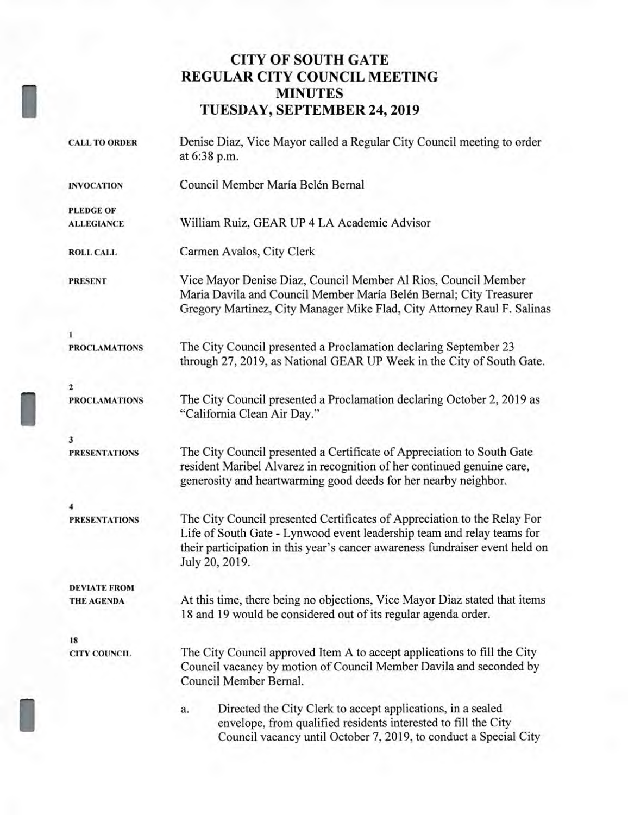# **CITY OF SOUTH GATE REGULAR CITY COUNCIL MEETING MINUTES TUESDAY, SEPTEMBER 24, 2019**

I

| <b>CALL TO ORDER</b> | Denise Diaz, Vice Mayor called a Regular City Council meeting to order<br>at 6:38 p.m.                                                                                                                                                               |
|----------------------|------------------------------------------------------------------------------------------------------------------------------------------------------------------------------------------------------------------------------------------------------|
| <b>INVOCATION</b>    | Council Member María Belén Bernal                                                                                                                                                                                                                    |
| <b>PLEDGE OF</b>     |                                                                                                                                                                                                                                                      |
| <b>ALLEGIANCE</b>    | William Ruiz, GEAR UP 4 LA Academic Advisor                                                                                                                                                                                                          |
| <b>ROLL CALL</b>     | Carmen Avalos, City Clerk                                                                                                                                                                                                                            |
| <b>PRESENT</b>       | Vice Mayor Denise Diaz, Council Member Al Rios, Council Member<br>Maria Davila and Council Member María Belén Bernal; City Treasurer<br>Gregory Martinez, City Manager Mike Flad, City Attorney Raul F. Salinas                                      |
| 1                    |                                                                                                                                                                                                                                                      |
| <b>PROCLAMATIONS</b> | The City Council presented a Proclamation declaring September 23<br>through 27, 2019, as National GEAR UP Week in the City of South Gate.                                                                                                            |
| 2                    |                                                                                                                                                                                                                                                      |
| <b>PROCLAMATIONS</b> | The City Council presented a Proclamation declaring October 2, 2019 as<br>"California Clean Air Day."                                                                                                                                                |
| 3                    |                                                                                                                                                                                                                                                      |
| <b>PRESENTATIONS</b> | The City Council presented a Certificate of Appreciation to South Gate<br>resident Maribel Alvarez in recognition of her continued genuine care,<br>generosity and heartwarming good deeds for her nearby neighbor.                                  |
| 4                    |                                                                                                                                                                                                                                                      |
| <b>PRESENTATIONS</b> | The City Council presented Certificates of Appreciation to the Relay For<br>Life of South Gate - Lynwood event leadership team and relay teams for<br>their participation in this year's cancer awareness fundraiser event held on<br>July 20, 2019. |
| <b>DEVIATE FROM</b>  |                                                                                                                                                                                                                                                      |
| <b>THE AGENDA</b>    | At this time, there being no objections, Vice Mayor Diaz stated that items<br>18 and 19 would be considered out of its regular agenda order.                                                                                                         |
| 18                   |                                                                                                                                                                                                                                                      |
| <b>CITY COUNCIL</b>  | The City Council approved Item A to accept applications to fill the City<br>Council vacancy by motion of Council Member Davila and seconded by<br>Council Member Bernal.                                                                             |
|                      | Directed the City Clerk to accept applications, in a sealed<br>a.<br>envelope, from qualified residents interested to fill the City<br>Council vacancy until October 7, 2019, to conduct a Special City                                              |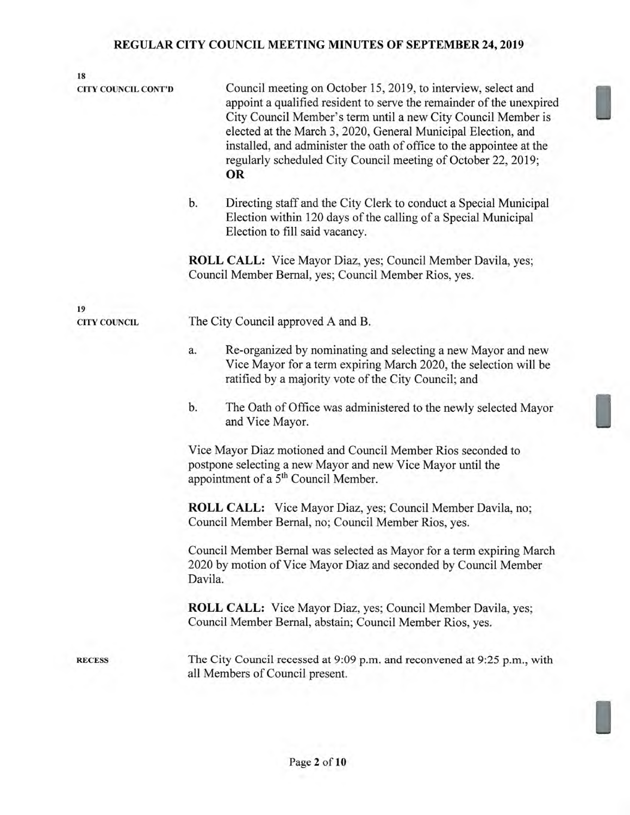| 18                         |                                                                                                                                                                                                                                                                                                                                                                                                                        |  |  |
|----------------------------|------------------------------------------------------------------------------------------------------------------------------------------------------------------------------------------------------------------------------------------------------------------------------------------------------------------------------------------------------------------------------------------------------------------------|--|--|
| <b>CITY COUNCIL CONT'D</b> | Council meeting on October 15, 2019, to interview, select and<br>appoint a qualified resident to serve the remainder of the unexpired<br>City Council Member's term until a new City Council Member is<br>elected at the March 3, 2020, General Municipal Election, and<br>installed, and administer the oath of office to the appointee at the<br>regularly scheduled City Council meeting of October 22, 2019;<br>OR |  |  |
|                            | b.<br>Directing staff and the City Clerk to conduct a Special Municipal<br>Election within 120 days of the calling of a Special Municipal<br>Election to fill said vacancy.                                                                                                                                                                                                                                            |  |  |
|                            | <b>ROLL CALL:</b> Vice Mayor Diaz, yes; Council Member Davila, yes;<br>Council Member Bernal, yes; Council Member Rios, yes.                                                                                                                                                                                                                                                                                           |  |  |
| 19                         |                                                                                                                                                                                                                                                                                                                                                                                                                        |  |  |
| <b>CITY COUNCIL</b>        | The City Council approved A and B.                                                                                                                                                                                                                                                                                                                                                                                     |  |  |
|                            | Re-organized by nominating and selecting a new Mayor and new<br>a.<br>Vice Mayor for a term expiring March 2020, the selection will be<br>ratified by a majority vote of the City Council; and                                                                                                                                                                                                                         |  |  |
|                            | b.<br>The Oath of Office was administered to the newly selected Mayor<br>and Vice Mayor.                                                                                                                                                                                                                                                                                                                               |  |  |
|                            | Vice Mayor Diaz motioned and Council Member Rios seconded to<br>postpone selecting a new Mayor and new Vice Mayor until the<br>appointment of a 5 <sup>th</sup> Council Member.                                                                                                                                                                                                                                        |  |  |
|                            | <b>ROLL CALL:</b> Vice Mayor Diaz, yes; Council Member Davila, no;<br>Council Member Bernal, no; Council Member Rios, yes.                                                                                                                                                                                                                                                                                             |  |  |
|                            | Council Member Bernal was selected as Mayor for a term expiring March<br>2020 by motion of Vice Mayor Diaz and seconded by Council Member<br>Davila.                                                                                                                                                                                                                                                                   |  |  |
|                            | ROLL CALL: Vice Mayor Diaz, yes; Council Member Davila, yes;<br>Council Member Bernal, abstain; Council Member Rios, yes.                                                                                                                                                                                                                                                                                              |  |  |
| <b>RECESS</b>              | The City Council recessed at 9:09 p.m. and reconvened at 9:25 p.m., with<br>all Members of Council present.                                                                                                                                                                                                                                                                                                            |  |  |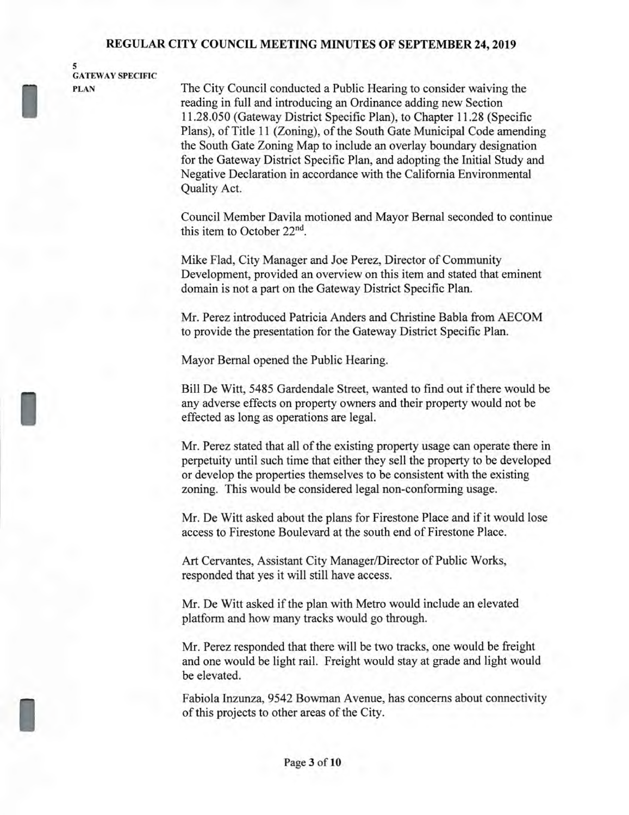**5 GATEWAY SPECIFIC** 

I

I

**I** 

**PLAN** The City Council conducted a Public Hearing to consider waiving the reading in full and introducing an Ordinance adding new Section 11.28.050 (Gateway District Specific Plan), to Chapter 11.28 (Specific Plans), of Title 11 (Zoning), of the South Gate Municipal Code amending the South Gate Zoning Map to include an overlay boundary designation for the Gateway District Specific Plan, and adopting the Initial Study and Negative Declaration in accordance with the California Environmental Quality Act.

> Council Member Davila motioned and Mayor Bernal seconded to continue this item to October 22nd.

Mike Flad, City Manager and Joe Perez, Director of Community Development, provided an overview on this item and stated that eminent domain is not a part on the Gateway District Specific Plan.

Mr. Perez introduced Patricia Anders and Christine Babla from AECOM to provide the presentation for the Gateway District Specific Plan.

Mayor Bernal opened the Public Hearing.

Bill De Witt, 5485 Gardendale Street, wanted to find out if there would be any adverse effects on property owners and their property would not be effected as long as operations are legal.

Mr. Perez stated that all of the existing property usage can operate there in perpetuity until such time that either they sell the property to be developed or develop the properties themselves to be consistent with the existing zoning. This would be considered legal non-conforming usage.

Mr. De Witt asked about the plans for Firestone Place and if it would lose access to Firestone Boulevard at the south end of Firestone Place.

Art Cervantes, Assistant City Manager/Director of Public Works, responded that yes it will still have access.

Mr. De Witt asked if the plan with Metro would include an elevated platform and how many tracks would go through.

Mr. Perez responded that there will be two tracks, one would be freight and one would be light rail. Freight would stay at grade and light would be elevated.

Fabiola Inzunza, 9542 Bowman Avenue, has concerns about connectivity of this projects to other areas of the City.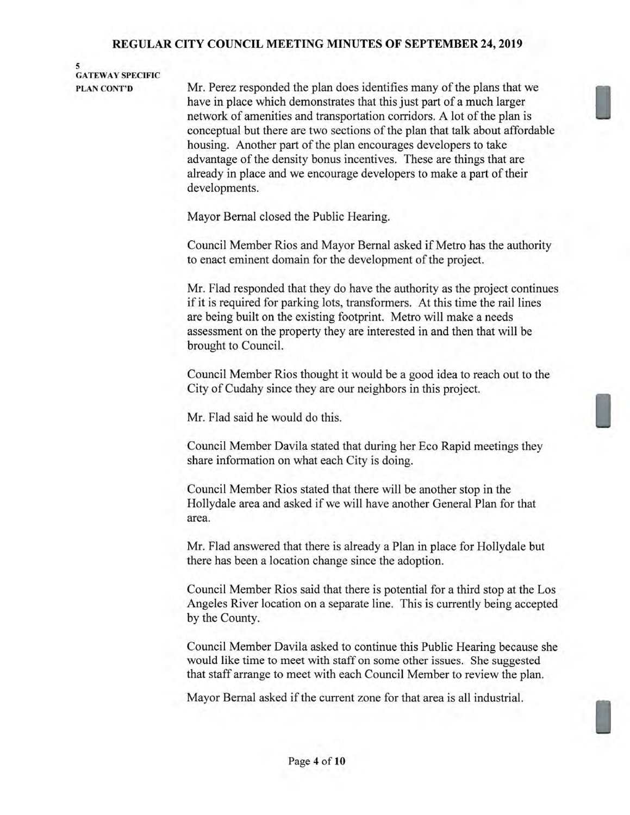## **5 GATEWAY SPECIFIC**

**PLAN CONT'D** Mr. Perez responded the plan does identifies many of the plans that we have in place which demonstrates that this just part of a much larger network of amenities and transportation corridors. A lot of the plan is conceptual but there are two sections of the plan that talk about affordable housing. Another part of the plan encourages developers to take advantage of the density bonus incentives. These are things that are already in place and we encourage developers to make a part of their developments.

Mayor Bernal closed the Public Hearing.

Council Member Rios and Mayor Bernal asked if Metro has the authority to enact eminent domain for the development of the project.

Mr. Flad responded that they do have the authority as the project continues if it is required for parking lots, transformers. At this time the rail lines are being built on the existing footprint. Metro will make a needs assessment on the property they are interested in and then that will be brought to Council.

Council Member Rios thought it would be a good idea to reach out to the City of Cudahy since they are our neighbors in this project.

Mr. Flad said he would do this.

Council Member Davila stated that during her Eco Rapid meetings they share information on what each City is doing.

Council Member Rios stated that there will be another stop in the Hollydale area and asked if we will have another General Plan for that area.

Mr. Flad answered that there is already a Plan in place for Hollydale but there has been a location change since the adoption.

Council Member Rios said that there is potential for a third stop at the Los Angeles River location on a separate line. This is currently being accepted by the County.

Council Member Davila asked to continue this Public Hearing because she would like time to meet with staff on some other issues. She suggested that staff arrange to meet with each Council Member to review the plan.

Mayor Bernal asked if the current zone for that area is all industrial.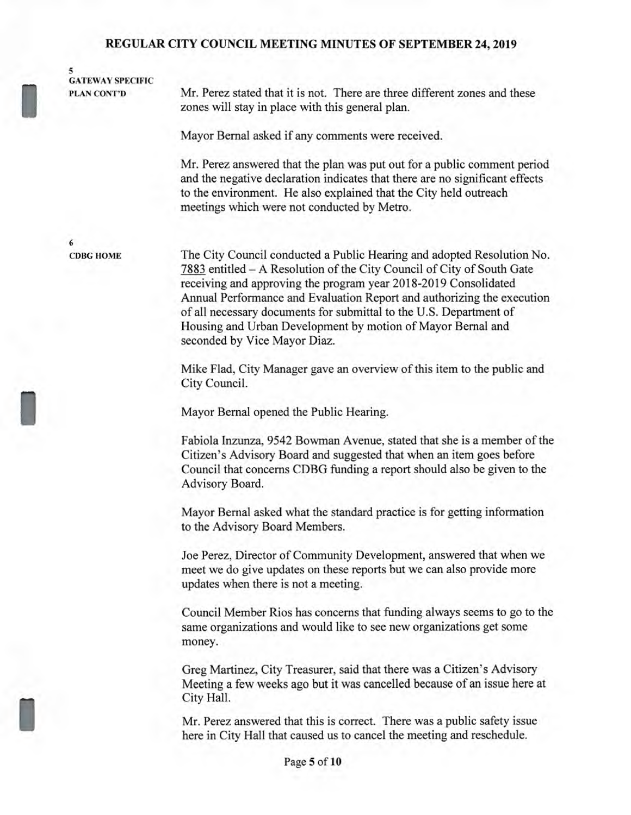**5 GATEWAY SPECIFIC CATEWAY SPE**<br>PLAN CONT'D

Mr. Perez stated that it is not. There are three different zones and these zones will stay in place with this general plan.

Mayor Bernal asked if any comments were received.

Mr. Perez answered that the plan was put out for a public comment period and the negative declaration indicates that there are no significant effects to the environment. He also explained that the City held outreach meetings which were not conducted by Metro.

**6 CDBG HOME** 

1

**1** 

The City Council conducted a Public Hearing and adopted Resolution No. 7883 entitled — A Resolution of the City Council of City of South Gate receiving and approving the program year 2018-2019 Consolidated Annual Performance and Evaluation Report and authorizing the execution of all necessary documents for submittal to the U.S. Department of Housing and Urban Development by motion of Mayor Bernal and seconded by Vice Mayor Diaz.

Mike Flad, City Manager gave an overview of this item to the public and City Council.

Mayor Bernal opened the Public Hearing.

Fabiola Inzunza, 9542 Bowman Avenue, stated that she is a member of the Citizen's Advisory Board and suggested that when an item goes before Council that concerns CDBG funding a report should also be given to the Advisory Board.

Mayor Bernal asked what the standard practice is for getting information to the Advisory Board Members.

Joe Perez, Director of Community Development, answered that when we meet we do give updates on these reports but we can also provide more updates when there is not a meeting.

Council Member Rios has concerns that funding always seems to go to the same organizations and would like to see new organizations get some money.

Greg Martinez, City Treasurer, said that there was a Citizen's Advisory Meeting a few weeks ago but it was cancelled because of an issue here at City Hall.

Mr. Perez answered that this is correct. There was a public safety issue here in City Hall that caused us to cancel the meeting and reschedule.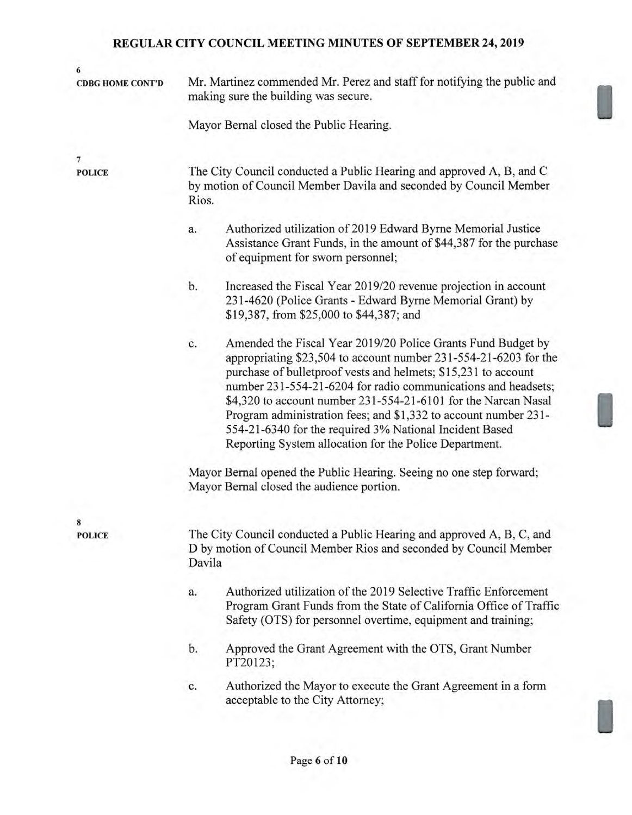| 6<br><b>CDBG HOME CONT'D</b> | Mr. Martinez commended Mr. Perez and staff for notifying the public and                                                                                                                                                                                                                                                                                                                                                                                                                                                             |  |
|------------------------------|-------------------------------------------------------------------------------------------------------------------------------------------------------------------------------------------------------------------------------------------------------------------------------------------------------------------------------------------------------------------------------------------------------------------------------------------------------------------------------------------------------------------------------------|--|
|                              | making sure the building was secure.                                                                                                                                                                                                                                                                                                                                                                                                                                                                                                |  |
|                              | Mayor Bernal closed the Public Hearing.                                                                                                                                                                                                                                                                                                                                                                                                                                                                                             |  |
| 7                            |                                                                                                                                                                                                                                                                                                                                                                                                                                                                                                                                     |  |
| <b>POLICE</b>                | The City Council conducted a Public Hearing and approved A, B, and C<br>by motion of Council Member Davila and seconded by Council Member<br>Rios.                                                                                                                                                                                                                                                                                                                                                                                  |  |
|                              | Authorized utilization of 2019 Edward Byrne Memorial Justice<br>a.<br>Assistance Grant Funds, in the amount of \$44,387 for the purchase<br>of equipment for sworn personnel;                                                                                                                                                                                                                                                                                                                                                       |  |
|                              | Increased the Fiscal Year 2019/20 revenue projection in account<br>b.<br>231-4620 (Police Grants - Edward Byrne Memorial Grant) by<br>\$19,387, from \$25,000 to \$44,387; and                                                                                                                                                                                                                                                                                                                                                      |  |
|                              | Amended the Fiscal Year 2019/20 Police Grants Fund Budget by<br>c.<br>appropriating \$23,504 to account number 231-554-21-6203 for the<br>purchase of bulletproof vests and helmets; \$15,231 to account<br>number 231-554-21-6204 for radio communications and headsets;<br>\$4,320 to account number 231-554-21-6101 for the Narcan Nasal<br>Program administration fees; and \$1,332 to account number 231-<br>554-21-6340 for the required 3% National Incident Based<br>Reporting System allocation for the Police Department. |  |
|                              | Mayor Bernal opened the Public Hearing. Seeing no one step forward;<br>Mayor Bernal closed the audience portion.                                                                                                                                                                                                                                                                                                                                                                                                                    |  |
| 8                            |                                                                                                                                                                                                                                                                                                                                                                                                                                                                                                                                     |  |
| <b>POLICE</b>                | The City Council conducted a Public Hearing and approved A, B, C, and<br>D by motion of Council Member Rios and seconded by Council Member<br>Davila                                                                                                                                                                                                                                                                                                                                                                                |  |
|                              | Authorized utilization of the 2019 Selective Traffic Enforcement<br>a.<br>Program Grant Funds from the State of California Office of Traffic<br>Safety (OTS) for personnel overtime, equipment and training;                                                                                                                                                                                                                                                                                                                        |  |
|                              | Approved the Grant Agreement with the OTS, Grant Number<br>b.<br>PT20123;                                                                                                                                                                                                                                                                                                                                                                                                                                                           |  |
|                              | Authorized the Mayor to execute the Grant Agreement in a form<br>c.<br>acceptable to the City Attorney;                                                                                                                                                                                                                                                                                                                                                                                                                             |  |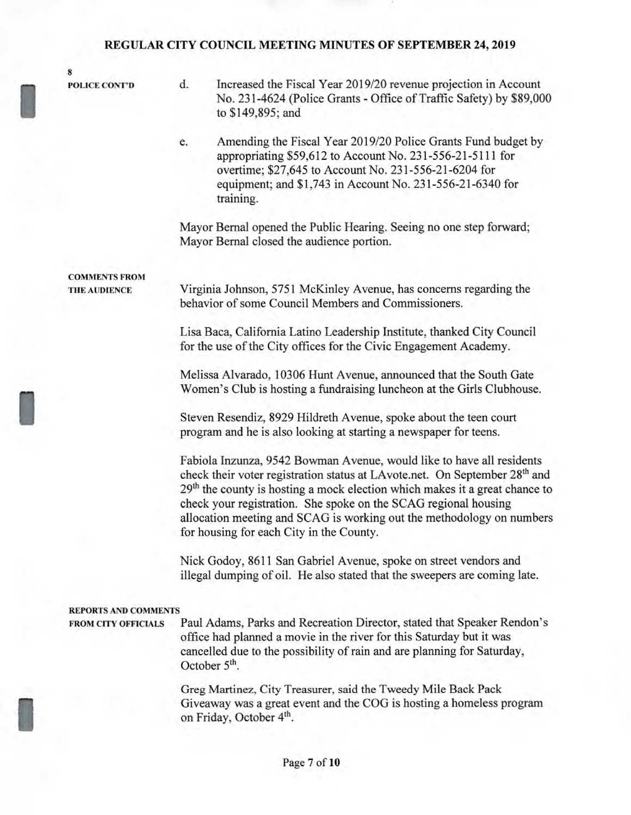**8** 

**POLICE CONT'D** 

- d. Increased the Fiscal Year 2019/20 revenue projection in Account No. 231-4624 (Police Grants - Office of Traffic Safety) by \$89,000 to \$149,895; and
- e. Amending the Fiscal Year 2019/20 Police Grants Fund budget by appropriating \$59,612 to Account No. 231-556-21-5111 for overtime; \$27,645 to Account No. 231-556-21-6204 for equipment; and \$1,743 in Account No. 231-556-21-6340 for training.

Mayor Bernal opened the Public Hearing. Seeing no one step forward; Mayor Bernal closed the audience portion.

**COMMENTS FROM THE AUDIENCE** 

I

I

Virginia Johnson, 5751 McKinley Avenue, has concerns regarding the behavior of some Council Members and Commissioners.

Lisa Baca, California Latino Leadership Institute, thanked City Council for the use of the City offices for the Civic Engagement Academy.

Melissa Alvarado, 10306 Hunt Avenue, announced that the South Gate Women's Club is hosting a fundraising luncheon at the Girls Clubhouse.

Steven Resendiz, 8929 Hildreth Avenue, spoke about the teen court program and he is also looking at starting a newspaper for teens.

Fabiola Inzunza, 9542 Bowman Avenue, would like to have all residents check their voter registration status at LAvote.net. On September 28<sup>th</sup> and  $29<sup>th</sup>$  the county is hosting a mock election which makes it a great chance to check your registration. She spoke on the SCAG regional housing allocation meeting and SCAG is working out the methodology on numbers for housing for each City in the County.

Nick Godoy, 8611 San Gabriel Avenue, spoke on street vendors and illegal dumping of oil. He also stated that the sweepers are coming late.

#### **REPORTS AND COMMENTS**

**FROM CITY OFFICIALS** Paul Adams, Parks and Recreation Director, stated that Speaker Rendon's office had planned a movie in the river for this Saturday but it was cancelled due to the possibility of rain and are planning for Saturday, October 5<sup>th</sup>.

> Greg Martinez, City Treasurer, said the Tweedy Mile Back Pack Giveaway was a great event and the COG is hosting a homeless program on Friday, October **4th.**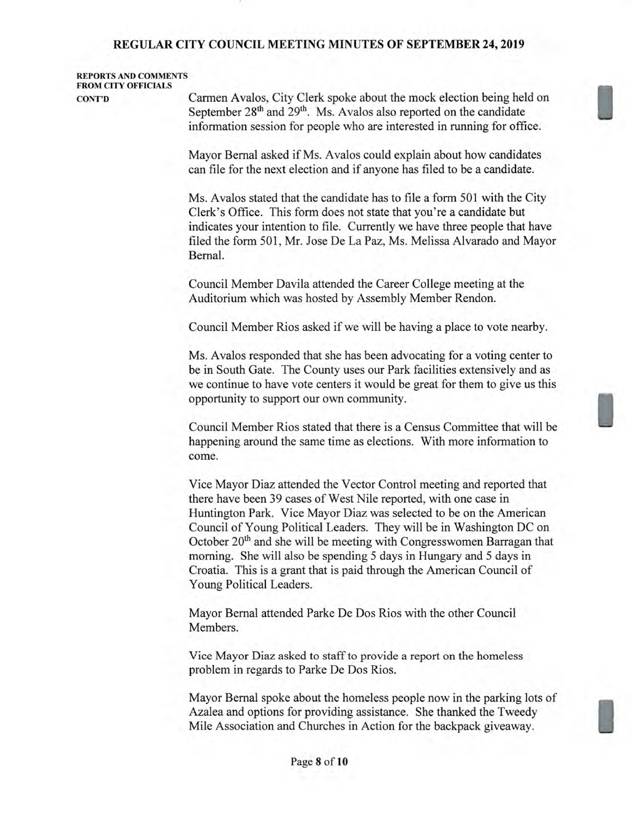### **REPORTS AND COMMENTS FROM CITY OFFICIALS**

**CONT'D** Carmen Avalos, City Clerk spoke about the mock election being held on September 28<sup>th</sup> and 29<sup>th</sup>. Ms. Avalos also reported on the candidate information session for people who are interested in running for office.

> Mayor Bernal asked if Ms. Avalos could explain about how candidates can file for the next election and if anyone has filed to be a candidate.

Ms. Avalos stated that the candidate has to file a form 501 with the City Clerk's Office. This form does not state that you're a candidate but indicates your intention to file. Currently we have three people that have filed the form 501, Mr. Jose De La Paz, Ms. Melissa Alvarado and Mayor Bernal.

Council Member Davila attended the Career College meeting at the Auditorium which was hosted by Assembly Member Rendon.

Council Member Rios asked if we will be having a place to vote nearby.

Ms. Avalos responded that she has been advocating for a voting center to be in South Gate. The County uses our Park facilities extensively and as we continue to have vote centers it would be great for them to give us this opportunity to support our own community.

Council Member Rios stated that there is a Census Committee that will be happening around the same time as elections. With more information to come.

Vice Mayor Diaz attended the Vector Control meeting and reported that there have been 39 cases of West Nile reported, with one case in Huntington Park. Vice Mayor Diaz was selected to be on the American Council of Young Political Leaders. They will be in Washington DC on October  $20<sup>th</sup>$  and she will be meeting with Congresswomen Barragan that morning. She will also be spending 5 days in Hungary and 5 days in Croatia. This is a grant that is paid through the American Council of Young Political Leaders.

Mayor Bernal attended Parke De Dos Rios with the other Council Members.

Vice Mayor Diaz asked to staff to provide a report on the homeless problem in regards to Parke De Dos Rios.

Mayor Bernal spoke about the homeless people now in the parking lots of Azalea and options for providing assistance. She thanked the Tweedy Mile Association and Churches in Action for the backpack giveaway.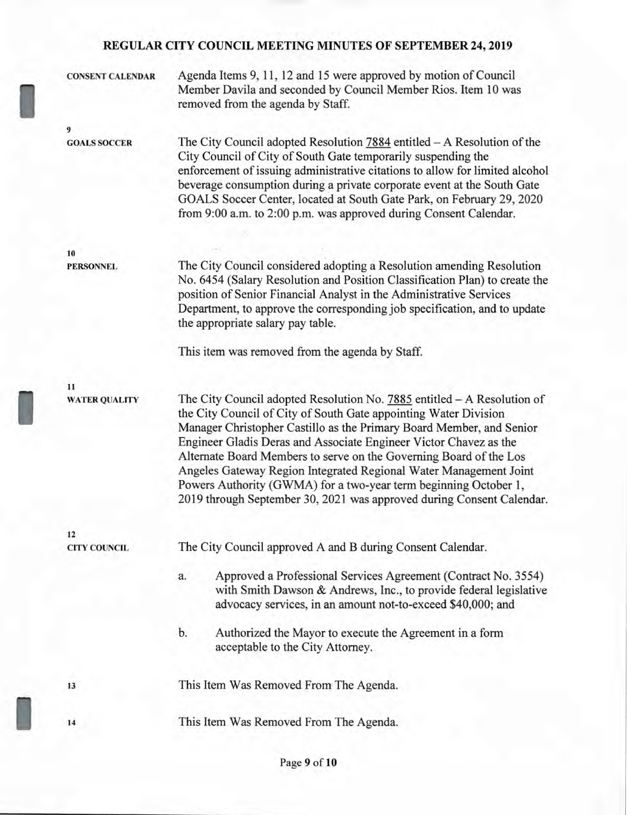**CONSENT CALENDAR** Agenda Items 9, 11, 12 and 15 were approved by motion of Council Member Davila and seconded by Council Member Rios. Item 10 was removed from the agenda by Staff. **9 GOALS SOCCER** The City Council adopted Resolution 7884 entitled — A Resolution of the City Council of City of South Gate temporarily suspending the enforcement of issuing administrative citations to allow for limited alcohol beverage consumption during a private corporate event at the South Gate GOALS Soccer Center, located at South Gate Park, on February 29, 2020 from 9:00 a.m. to 2:00 p.m. was approved during Consent Calendar.

**10** 

**PERSONNEL** The City Council considered adopting a Resolution amending Resolution No. 6454 (Salary Resolution and Position Classification Plan) to create the position of Senior Financial Analyst in the Administrative Services Department, to approve the corresponding job specification, and to update the appropriate salary pay table.

This item was removed from the agenda by Staff.

**11** 

**WATER QUALITY** The City Council adopted Resolution No. 7885 entitled — A Resolution of the City Council of City of South Gate appointing Water Division Manager Christopher Castillo as the Primary Board Member, and Senior Engineer Gladis Deras and Associate Engineer Victor Chavez as the Alternate Board Members to serve on the Governing Board of the Los Angeles Gateway Region Integrated Regional Water Management Joint Powers Authority (GWMA) for a two-year term beginning October 1, 2019 through September 30, 2021 was approved during Consent Calendar.

**12** 

**CITY COUNCIL** The City Council approved A and B during Consent Calendar.

- a. Approved a Professional Services Agreement (Contract No. 3554) with Smith Dawson & Andrews, Inc., to provide federal legislative advocacy services, in an amount not-to-exceed \$40,000; and
- b. Authorized the Mayor to execute the Agreement in a form acceptable to the City Attorney.

**<sup>13</sup>**This Item Was Removed From The Agenda.

**<sup>14</sup>**This Item Was Removed From The Agenda.